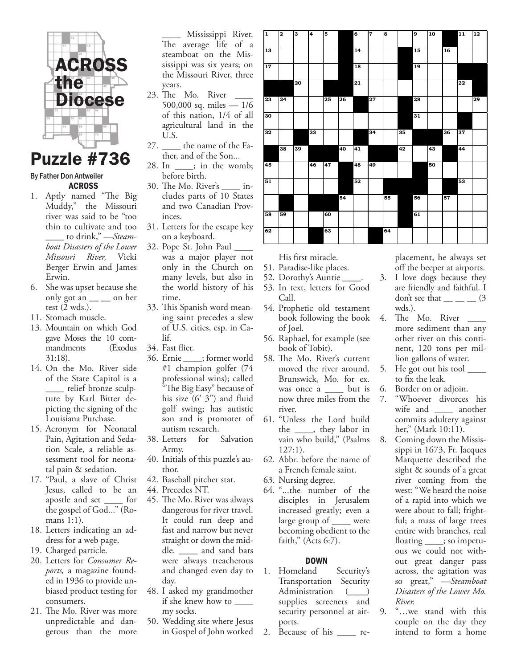

## Puzzle #736

## By Father Don Antweiler ACROSS

- 1. Aptly named "The Big Muddy," the Missouri river was said to be "too thin to cultivate and too \_\_\_\_ to drink," —*Steamboat Disasters of the Lower Missouri River,* Vicki Berger Erwin and James Erwin.
- 6. She was upset because she only got an  $\_\_$  on her test (2 wds.).
- 11. Stomach muscle.
- 13. Mountain on which God gave Moses the 10 commandments (Exodus 31:18).
- 14. On the Mo. River side of the State Capitol is a \_\_\_\_ relief bronze sculpture by Karl Bitter depicting the signing of the Louisiana Purchase.
- 15. Acronym for Neonatal Pain, Agitation and Sedation Scale, a reliable assessment tool for neonatal pain & sedation.
- 17. "Paul, a slave of Christ Jesus, called to be an apostle and set \_\_\_\_ for the gospel of God..." (Romans 1:1).
- 18. Letters indicating an address for a web page.
- 19. Charged particle.
- 20. Letters for *Consumer Reports,* a magazine founded in 1936 to provide unbiased product testing for consumers.
- 21. The Mo. River was more unpredictable and dangerous than the more

\_\_\_\_ Mississippi River. The average life of a steamboat on the Mississippi was six years; on the Missouri River, three years.

- 23. The Mo. River 500,000 sq. miles — 1/6 of this nation, 1/4 of all agricultural land in the U.S.
- 27. \_\_\_\_ the name of the Father, and of the Son...
- 28. In \_\_\_\_; in the womb; before birth.
- 30. The Mo. River's \_\_\_\_ includes parts of 10 States and two Canadian Provinces.
- 31. Letters for the escape key on a keyboard.
- 32. Pope St. John Paul \_\_\_\_
	- was a major player not only in the Church on many levels, but also in the world history of his time.
- 33. This Spanish word meaning saint precedes a slew of U.S. cities, esp. in Calif.
- 34. Fast flier.
- 36. Ernie \_\_\_\_; former world #1 champion golfer (74 professional wins); called "The Big Easy" because of his size (6' 3") and fluid golf swing; has autistic son and is promoter of autism research.
- 38. Letters for Salvation Army.
- 40. Initials of this puzzle's author.
- 42. Baseball pitcher stat.
- 44. Precedes NT.
- 45. The Mo. River was always dangerous for river travel. It could run deep and fast and narrow but never straight or down the middle. \_\_\_\_ and sand bars were always treacherous and changed even day to day.
- 48. I asked my grandmother if she knew how to \_\_\_\_ my socks.
- 50. Wedding site where Jesus in Gospel of John worked

| $\mathbf 1$     | 2               | 3  | $\overline{4}$ | 5  |    | $\overline{\mathbf{6}}$ | $\overline{7}$  | 8  |    | 9  | $\overline{10}$ |    | $\overline{11}$ | $\overline{12}$ |
|-----------------|-----------------|----|----------------|----|----|-------------------------|-----------------|----|----|----|-----------------|----|-----------------|-----------------|
| 13              |                 |    |                |    |    | 14                      |                 |    |    | 15 |                 | 16 |                 |                 |
| 17              |                 |    |                |    |    | 18                      |                 |    |    | 19 |                 |    |                 |                 |
|                 |                 | 20 |                |    |    | 21                      |                 |    |    |    |                 |    | 22              |                 |
| $\overline{23}$ | $\overline{24}$ |    |                | 25 | 26 |                         | $\overline{27}$ |    |    | 28 |                 |    |                 | 29              |
| 30              |                 |    |                |    |    |                         |                 |    |    | 31 |                 |    |                 |                 |
| 32              |                 |    | 33             |    |    |                         | $\overline{34}$ |    | 35 |    |                 | 36 | 37              |                 |
|                 | 38              | 39 |                |    | 40 | 41                      |                 |    | 42 |    | 43              |    | 44              |                 |
| 45              |                 |    | 46             | 47 |    | 48                      | 49              |    |    |    | 50              |    |                 |                 |
| 51              |                 |    |                |    |    | 52                      |                 |    |    |    |                 |    | 53              |                 |
|                 |                 |    |                |    | 54 |                         |                 | 55 |    | 56 |                 | 57 |                 |                 |
| 58              | 59              |    |                | 60 |    |                         |                 |    |    | 61 |                 |    |                 |                 |
| 62              |                 |    |                | 63 |    |                         |                 | 64 |    |    |                 |    |                 |                 |

His first miracle.

- 51. Paradise-like places.
- 52. Dorothy's Auntie \_\_\_\_.
- 53. In text, letters for Good Call.
- 54. Prophetic old testament book following the book of Joel.
- 56. Raphael, for example (see book of Tobit).
- 58. The Mo. River's current moved the river around. Brunswick, Mo. for ex. was once a \_\_\_\_ but is now three miles from the river.
- 61. "Unless the Lord build the \_\_\_\_, they labor in vain who build," (Psalms 127:1).
- 62. Abbr. before the name of a French female saint.
- 63. Nursing degree.
- 64. "...the number of the disciples in Jerusalem increased greatly; even a large group of \_\_\_\_ were becoming obedient to the faith," (Acts 6:7).

## **DOWN**

- 1. Homeland Security's Transportation Security Administration (\_\_\_\_) supplies screeners and security personnel at airports.
- 2. Because of his \_\_\_\_ re-

placement, he always set off the beeper at airports.

- 3. I love dogs because they are friendly and faithful. I don't see that  $(3)$ wds.).
- 4. The Mo. River more sediment than any other river on this continent, 120 tons per million gallons of water.
- 5. He got out his tool <u>sect</u> to fix the leak.
- 6. Border on or adjoin.
- 7. "Whoever divorces his wife and another commits adultery against her," (Mark 10:11).
- 8. Coming down the Mississippi in 1673, Fr. Jacques Marquette described the sight & sounds of a great river coming from the west: "We heard the noise of a rapid into which we were about to fall; frightful; a mass of large trees entire with branches, real floating \_\_\_\_; so impetuous we could not without great danger pass across, the agitation was so great," *—Steamboat Disasters of the Lower Mo. River.*
- 9. "…we stand with this couple on the day they intend to form a home